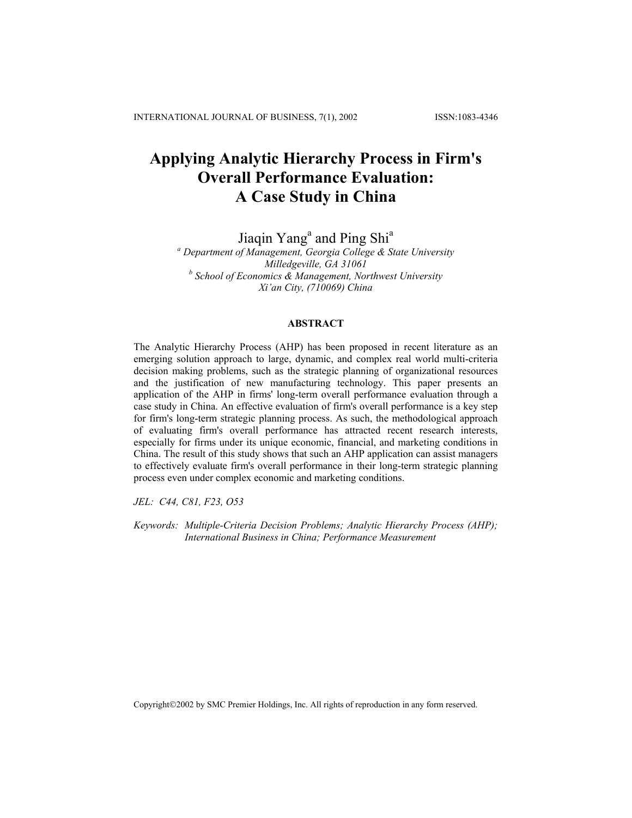# **Applying Analytic Hierarchy Process in Firm's Overall Performance Evaluation: A Case Study in China**

Jiaqin Yang<sup>a</sup> and Ping Shi<sup>a</sup>

*a Department of Management, Georgia College & State University Milledgeville, GA 31061 b School of Economics & Management, Northwest University Xi'an City, (710069) China* 

# **ABSTRACT**

The Analytic Hierarchy Process (AHP) has been proposed in recent literature as an emerging solution approach to large, dynamic, and complex real world multi-criteria decision making problems, such as the strategic planning of organizational resources and the justification of new manufacturing technology. This paper presents an application of the AHP in firms' long-term overall performance evaluation through a case study in China. An effective evaluation of firm's overall performance is a key step for firm's long-term strategic planning process. As such, the methodological approach of evaluating firm's overall performance has attracted recent research interests, especially for firms under its unique economic, financial, and marketing conditions in China. The result of this study shows that such an AHP application can assist managers to effectively evaluate firm's overall performance in their long-term strategic planning process even under complex economic and marketing conditions.

*JEL: C44, C81, F23, O53* 

*Keywords: Multiple-Criteria Decision Problems; Analytic Hierarchy Process (AHP); International Business in China; Performance Measurement*

Copyright©2002 by SMC Premier Holdings, Inc. All rights of reproduction in any form reserved.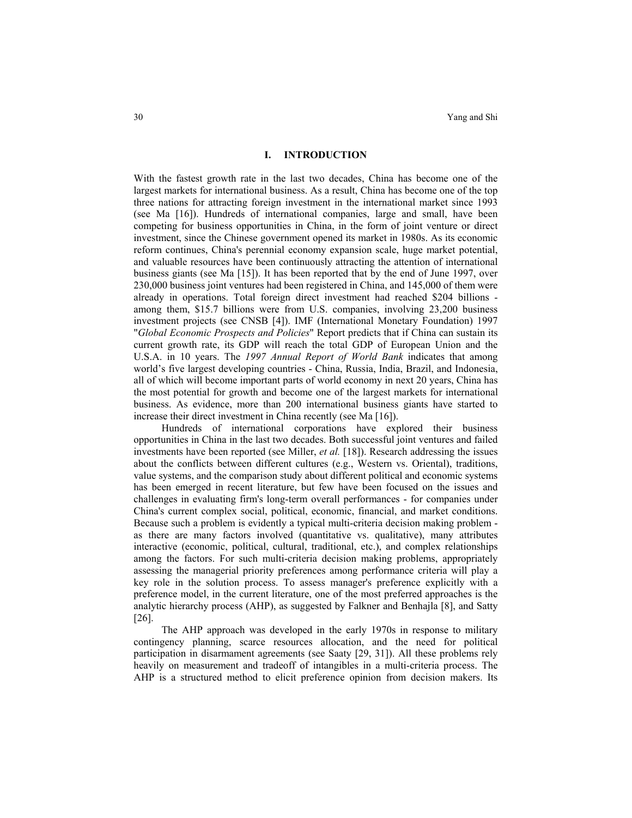#### **I. INTRODUCTION**

With the fastest growth rate in the last two decades, China has become one of the largest markets for international business. As a result, China has become one of the top three nations for attracting foreign investment in the international market since 1993 (see Ma [16]). Hundreds of international companies, large and small, have been competing for business opportunities in China, in the form of joint venture or direct investment, since the Chinese government opened its market in 1980s. As its economic reform continues, China's perennial economy expansion scale, huge market potential, and valuable resources have been continuously attracting the attention of international business giants (see Ma [15]). It has been reported that by the end of June 1997, over 230,000 business joint ventures had been registered in China, and 145,000 of them were already in operations. Total foreign direct investment had reached \$204 billions among them, \$15.7 billions were from U.S. companies, involving 23,200 business investment projects (see CNSB [4]). IMF (International Monetary Foundation) 1997 "*Global Economic Prospects and Policies*" Report predicts that if China can sustain its current growth rate, its GDP will reach the total GDP of European Union and the U.S.A. in 10 years. The *1997 Annual Report of World Bank* indicates that among world's five largest developing countries - China, Russia, India, Brazil, and Indonesia, all of which will become important parts of world economy in next 20 years, China has the most potential for growth and become one of the largest markets for international business. As evidence, more than 200 international business giants have started to increase their direct investment in China recently (see Ma [16]).

Hundreds of international corporations have explored their business opportunities in China in the last two decades. Both successful joint ventures and failed investments have been reported (see Miller, *et al.* [18]). Research addressing the issues about the conflicts between different cultures (e.g., Western vs. Oriental), traditions, value systems, and the comparison study about different political and economic systems has been emerged in recent literature, but few have been focused on the issues and challenges in evaluating firm's long-term overall performances - for companies under China's current complex social, political, economic, financial, and market conditions. Because such a problem is evidently a typical multi-criteria decision making problem as there are many factors involved (quantitative vs. qualitative), many attributes interactive (economic, political, cultural, traditional, etc.), and complex relationships among the factors. For such multi-criteria decision making problems, appropriately assessing the managerial priority preferences among performance criteria will play a key role in the solution process. To assess manager's preference explicitly with a preference model, in the current literature, one of the most preferred approaches is the analytic hierarchy process (AHP), as suggested by Falkner and Benhajla [8], and Satty [26].

The AHP approach was developed in the early 1970s in response to military contingency planning, scarce resources allocation, and the need for political participation in disarmament agreements (see Saaty [29, 31]). All these problems rely heavily on measurement and tradeoff of intangibles in a multi-criteria process. The AHP is a structured method to elicit preference opinion from decision makers. Its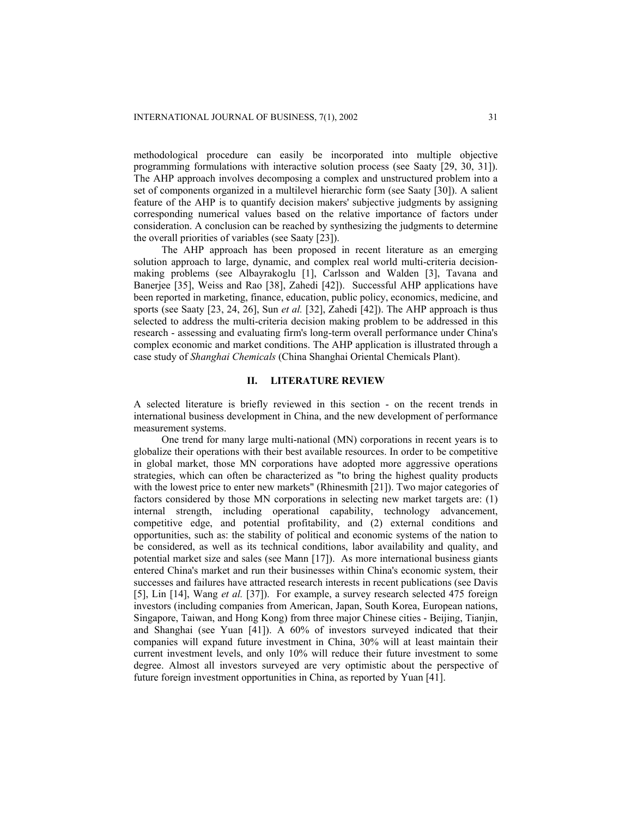methodological procedure can easily be incorporated into multiple objective programming formulations with interactive solution process (see Saaty [29, 30, 31]). The AHP approach involves decomposing a complex and unstructured problem into a set of components organized in a multilevel hierarchic form (see Saaty [30]). A salient feature of the AHP is to quantify decision makers' subjective judgments by assigning corresponding numerical values based on the relative importance of factors under consideration. A conclusion can be reached by synthesizing the judgments to determine the overall priorities of variables (see Saaty [23]).

The AHP approach has been proposed in recent literature as an emerging solution approach to large, dynamic, and complex real world multi-criteria decisionmaking problems (see Albayrakoglu [1], Carlsson and Walden [3], Tavana and Banerjee [35], Weiss and Rao [38], Zahedi [42]). Successful AHP applications have been reported in marketing, finance, education, public policy, economics, medicine, and sports (see Saaty [23, 24, 26], Sun *et al.* [32], Zahedi [42]). The AHP approach is thus selected to address the multi-criteria decision making problem to be addressed in this research - assessing and evaluating firm's long-term overall performance under China's complex economic and market conditions. The AHP application is illustrated through a case study of *Shanghai Chemicals* (China Shanghai Oriental Chemicals Plant).

## **II. LITERATURE REVIEW**

A selected literature is briefly reviewed in this section - on the recent trends in international business development in China, and the new development of performance measurement systems.

One trend for many large multi-national (MN) corporations in recent years is to globalize their operations with their best available resources. In order to be competitive in global market, those MN corporations have adopted more aggressive operations strategies, which can often be characterized as "to bring the highest quality products with the lowest price to enter new markets" (Rhinesmith [21]). Two major categories of factors considered by those MN corporations in selecting new market targets are: (1) internal strength, including operational capability, technology advancement, competitive edge, and potential profitability, and (2) external conditions and opportunities, such as: the stability of political and economic systems of the nation to be considered, as well as its technical conditions, labor availability and quality, and potential market size and sales (see Mann [17]). As more international business giants entered China's market and run their businesses within China's economic system, their successes and failures have attracted research interests in recent publications (see Davis [5], Lin [14], Wang *et al.* [37]). For example, a survey research selected 475 foreign investors (including companies from American, Japan, South Korea, European nations, Singapore, Taiwan, and Hong Kong) from three major Chinese cities - Beijing, Tianjin, and Shanghai (see Yuan [41]). A 60% of investors surveyed indicated that their companies will expand future investment in China, 30% will at least maintain their current investment levels, and only 10% will reduce their future investment to some degree. Almost all investors surveyed are very optimistic about the perspective of future foreign investment opportunities in China, as reported by Yuan [41].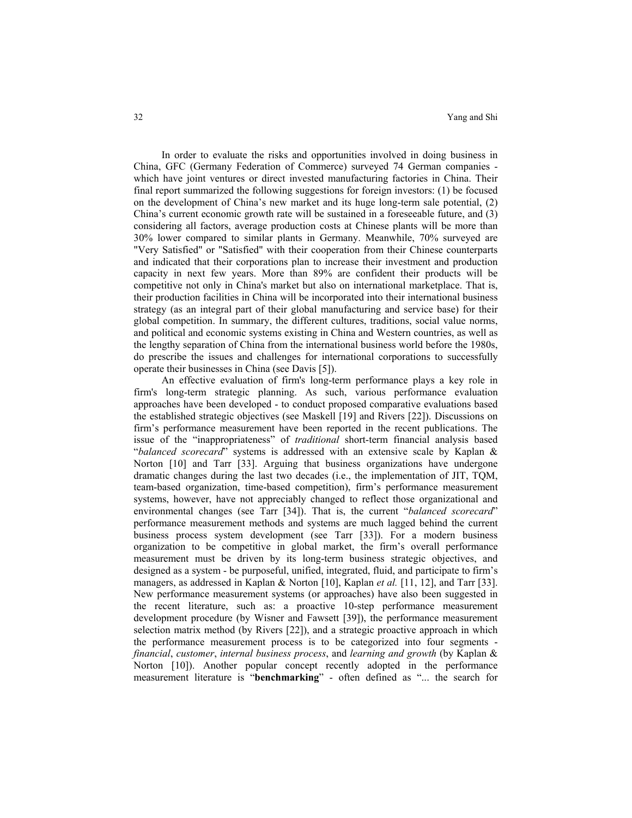In order to evaluate the risks and opportunities involved in doing business in China, GFC (Germany Federation of Commerce) surveyed 74 German companies which have joint ventures or direct invested manufacturing factories in China. Their final report summarized the following suggestions for foreign investors: (1) be focused on the development of China's new market and its huge long-term sale potential, (2) China's current economic growth rate will be sustained in a foreseeable future, and (3) considering all factors, average production costs at Chinese plants will be more than 30% lower compared to similar plants in Germany. Meanwhile, 70% surveyed are "Very Satisfied" or "Satisfied" with their cooperation from their Chinese counterparts and indicated that their corporations plan to increase their investment and production capacity in next few years. More than 89% are confident their products will be competitive not only in China's market but also on international marketplace. That is, their production facilities in China will be incorporated into their international business strategy (as an integral part of their global manufacturing and service base) for their global competition. In summary, the different cultures, traditions, social value norms, and political and economic systems existing in China and Western countries, as well as the lengthy separation of China from the international business world before the 1980s, do prescribe the issues and challenges for international corporations to successfully operate their businesses in China (see Davis [5]).

An effective evaluation of firm's long-term performance plays a key role in firm's long-term strategic planning. As such, various performance evaluation approaches have been developed - to conduct proposed comparative evaluations based the established strategic objectives (see Maskell [19] and Rivers [22]). Discussions on firm's performance measurement have been reported in the recent publications. The issue of the "inappropriateness" of *traditional* short-term financial analysis based "*balanced scorecard*" systems is addressed with an extensive scale by Kaplan & Norton [10] and Tarr [33]. Arguing that business organizations have undergone dramatic changes during the last two decades (i.e., the implementation of JIT, TQM, team-based organization, time-based competition), firm's performance measurement systems, however, have not appreciably changed to reflect those organizational and environmental changes (see Tarr [34]). That is, the current "*balanced scorecard*" performance measurement methods and systems are much lagged behind the current business process system development (see Tarr [33]). For a modern business organization to be competitive in global market, the firm's overall performance measurement must be driven by its long-term business strategic objectives, and designed as a system - be purposeful, unified, integrated, fluid, and participate to firm's managers, as addressed in Kaplan & Norton [10], Kaplan *et al.* [11, 12], and Tarr [33]. New performance measurement systems (or approaches) have also been suggested in the recent literature, such as: a proactive 10-step performance measurement development procedure (by Wisner and Fawsett [39]), the performance measurement selection matrix method (by Rivers [22]), and a strategic proactive approach in which the performance measurement process is to be categorized into four segments *financial*, *customer*, *internal business process*, and *learning and growth* (by Kaplan & Norton [10]). Another popular concept recently adopted in the performance measurement literature is "**benchmarking**" - often defined as "... the search for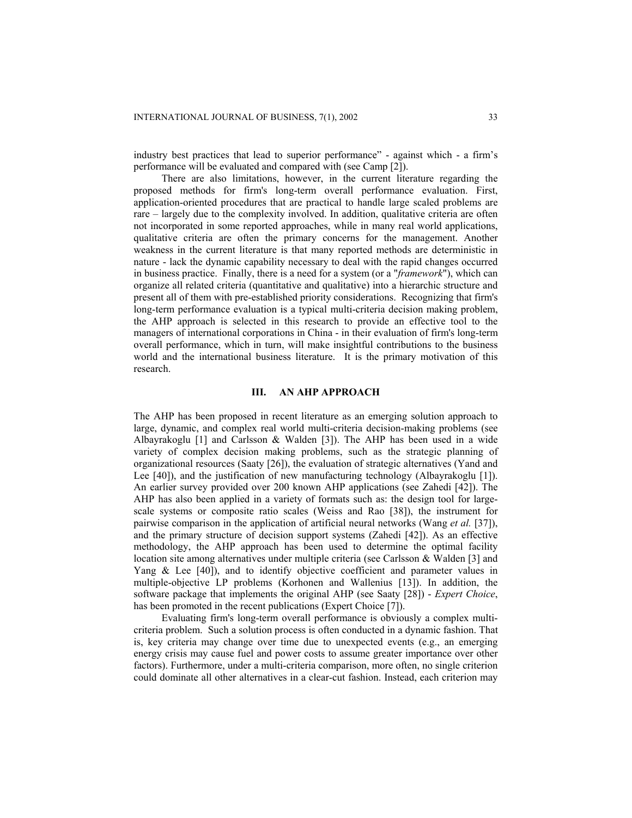industry best practices that lead to superior performance" - against which - a firm's performance will be evaluated and compared with (see Camp [2]).

There are also limitations, however, in the current literature regarding the proposed methods for firm's long-term overall performance evaluation. First, application-oriented procedures that are practical to handle large scaled problems are rare – largely due to the complexity involved. In addition, qualitative criteria are often not incorporated in some reported approaches, while in many real world applications, qualitative criteria are often the primary concerns for the management. Another weakness in the current literature is that many reported methods are deterministic in nature - lack the dynamic capability necessary to deal with the rapid changes occurred in business practice. Finally, there is a need for a system (or a "*framework*"), which can organize all related criteria (quantitative and qualitative) into a hierarchic structure and present all of them with pre-established priority considerations. Recognizing that firm's long-term performance evaluation is a typical multi-criteria decision making problem, the AHP approach is selected in this research to provide an effective tool to the managers of international corporations in China - in their evaluation of firm's long-term overall performance, which in turn, will make insightful contributions to the business world and the international business literature. It is the primary motivation of this research.

## **III. AN AHP APPROACH**

The AHP has been proposed in recent literature as an emerging solution approach to large, dynamic, and complex real world multi-criteria decision-making problems (see Albayrakoglu [1] and Carlsson & Walden [3]). The AHP has been used in a wide variety of complex decision making problems, such as the strategic planning of organizational resources (Saaty [26]), the evaluation of strategic alternatives (Yand and Lee [40]), and the justification of new manufacturing technology (Albayrakoglu [1]). An earlier survey provided over 200 known AHP applications (see Zahedi [42]). The AHP has also been applied in a variety of formats such as: the design tool for largescale systems or composite ratio scales (Weiss and Rao [38]), the instrument for pairwise comparison in the application of artificial neural networks (Wang *et al.* [37]), and the primary structure of decision support systems (Zahedi [42]). As an effective methodology, the AHP approach has been used to determine the optimal facility location site among alternatives under multiple criteria (see Carlsson & Walden [3] and Yang & Lee [40]), and to identify objective coefficient and parameter values in multiple-objective LP problems (Korhonen and Wallenius [13]). In addition, the software package that implements the original AHP (see Saaty [28]) - *Expert Choice*, has been promoted in the recent publications (Expert Choice [7]).

Evaluating firm's long-term overall performance is obviously a complex multicriteria problem. Such a solution process is often conducted in a dynamic fashion. That is, key criteria may change over time due to unexpected events (e.g., an emerging energy crisis may cause fuel and power costs to assume greater importance over other factors). Furthermore, under a multi-criteria comparison, more often, no single criterion could dominate all other alternatives in a clear-cut fashion. Instead, each criterion may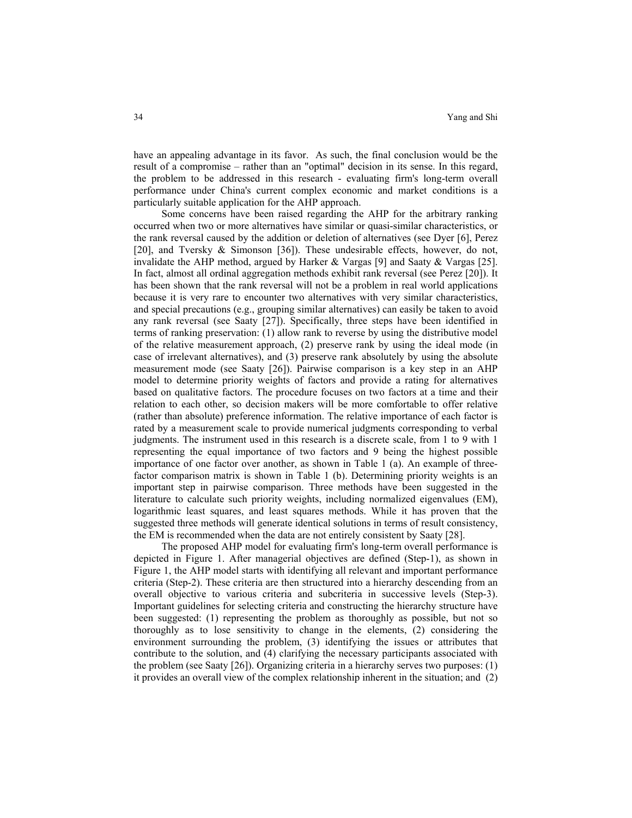have an appealing advantage in its favor. As such, the final conclusion would be the result of a compromise – rather than an "optimal" decision in its sense. In this regard, the problem to be addressed in this research - evaluating firm's long-term overall performance under China's current complex economic and market conditions is a particularly suitable application for the AHP approach.

Some concerns have been raised regarding the AHP for the arbitrary ranking occurred when two or more alternatives have similar or quasi-similar characteristics, or the rank reversal caused by the addition or deletion of alternatives (see Dyer [6], Perez [20], and Tversky & Simonson [36]). These undesirable effects, however, do not, invalidate the AHP method, argued by Harker & Vargas [9] and Saaty & Vargas [25]. In fact, almost all ordinal aggregation methods exhibit rank reversal (see Perez [20]). It has been shown that the rank reversal will not be a problem in real world applications because it is very rare to encounter two alternatives with very similar characteristics, and special precautions (e.g., grouping similar alternatives) can easily be taken to avoid any rank reversal (see Saaty [27]). Specifically, three steps have been identified in terms of ranking preservation: (1) allow rank to reverse by using the distributive model of the relative measurement approach, (2) preserve rank by using the ideal mode (in case of irrelevant alternatives), and (3) preserve rank absolutely by using the absolute measurement mode (see Saaty [26]). Pairwise comparison is a key step in an AHP model to determine priority weights of factors and provide a rating for alternatives based on qualitative factors. The procedure focuses on two factors at a time and their relation to each other, so decision makers will be more comfortable to offer relative (rather than absolute) preference information. The relative importance of each factor is rated by a measurement scale to provide numerical judgments corresponding to verbal judgments. The instrument used in this research is a discrete scale, from 1 to 9 with 1 representing the equal importance of two factors and 9 being the highest possible importance of one factor over another, as shown in Table 1 (a). An example of threefactor comparison matrix is shown in Table 1 (b). Determining priority weights is an important step in pairwise comparison. Three methods have been suggested in the literature to calculate such priority weights, including normalized eigenvalues (EM), logarithmic least squares, and least squares methods. While it has proven that the suggested three methods will generate identical solutions in terms of result consistency, the EM is recommended when the data are not entirely consistent by Saaty [28].

The proposed AHP model for evaluating firm's long-term overall performance is depicted in Figure 1. After managerial objectives are defined (Step-1), as shown in Figure 1, the AHP model starts with identifying all relevant and important performance criteria (Step-2). These criteria are then structured into a hierarchy descending from an overall objective to various criteria and subcriteria in successive levels (Step-3). Important guidelines for selecting criteria and constructing the hierarchy structure have been suggested: (1) representing the problem as thoroughly as possible, but not so thoroughly as to lose sensitivity to change in the elements, (2) considering the environment surrounding the problem, (3) identifying the issues or attributes that contribute to the solution, and (4) clarifying the necessary participants associated with the problem (see Saaty [26]). Organizing criteria in a hierarchy serves two purposes: (1) it provides an overall view of the complex relationship inherent in the situation; and (2)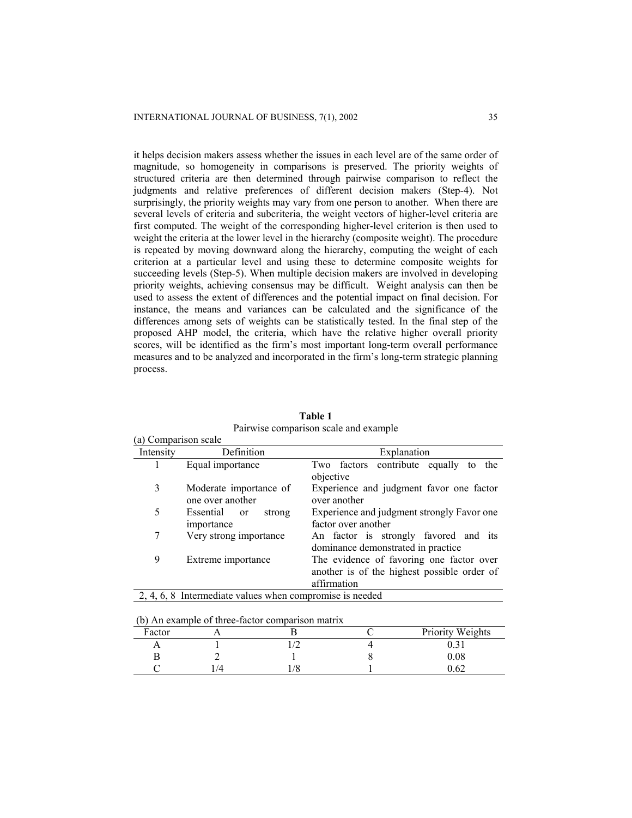it helps decision makers assess whether the issues in each level are of the same order of magnitude, so homogeneity in comparisons is preserved. The priority weights of structured criteria are then determined through pairwise comparison to reflect the judgments and relative preferences of different decision makers (Step-4). Not surprisingly, the priority weights may vary from one person to another. When there are several levels of criteria and subcriteria, the weight vectors of higher-level criteria are first computed. The weight of the corresponding higher-level criterion is then used to weight the criteria at the lower level in the hierarchy (composite weight). The procedure is repeated by moving downward along the hierarchy, computing the weight of each criterion at a particular level and using these to determine composite weights for succeeding levels (Step-5). When multiple decision makers are involved in developing priority weights, achieving consensus may be difficult. Weight analysis can then be used to assess the extent of differences and the potential impact on final decision. For instance, the means and variances can be calculated and the significance of the differences among sets of weights can be statistically tested. In the final step of the proposed AHP model, the criteria, which have the relative higher overall priority scores, will be identified as the firm's most important long-term overall performance measures and to be analyzed and incorporated in the firm's long-term strategic planning process.

| (a) Comparison scale |                                                          |                                                                                                        |
|----------------------|----------------------------------------------------------|--------------------------------------------------------------------------------------------------------|
| Intensity            | Definition                                               | Explanation                                                                                            |
|                      | Equal importance                                         | Two factors contribute equally to<br>the<br>objective                                                  |
| 3                    | Moderate importance of<br>one over another               | Experience and judgment favor one factor<br>over another                                               |
| 5                    | Essential<br>strong<br><sub>or</sub><br>importance       | Experience and judgment strongly Favor one<br>factor over another                                      |
| 7                    | Very strong importance                                   | An factor is strongly favored and its<br>dominance demonstrated in practice                            |
| 9                    | Extreme importance                                       | The evidence of favoring one factor over<br>another is of the highest possible order of<br>affirmation |
|                      | 2, 4, 6, 8 Intermediate values when compromise is needed |                                                                                                        |

**Table 1** Pairwise comparison scale and example

|  |  |  | (b) An example of three-factor comparison matrix |  |
|--|--|--|--------------------------------------------------|--|
|  |  |  |                                                  |  |

|        | <u>(0) THE CAULILLE OF HILL HIGHER COMPUTISOR MULLIA</u> |                  |
|--------|----------------------------------------------------------|------------------|
| Factor |                                                          | Priority Weights |
|        |                                                          |                  |
|        |                                                          | 0.08             |
|        |                                                          | 0.62             |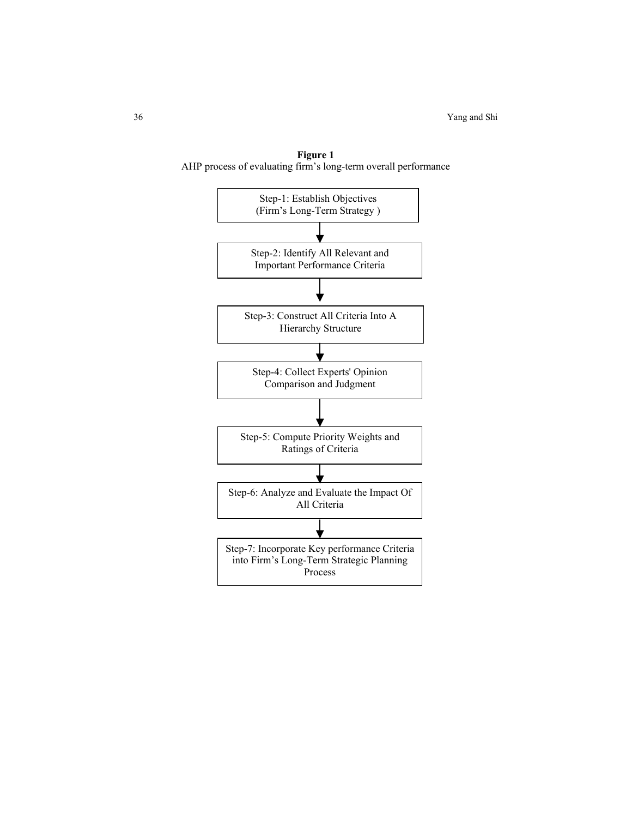

**Figure 1**  AHP process of evaluating firm's long-term overall performance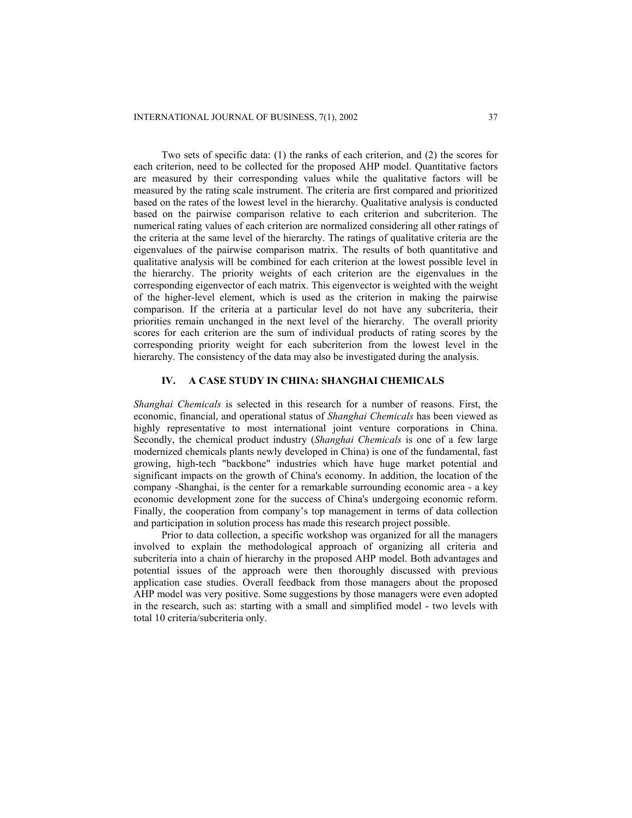Two sets of specific data: (1) the ranks of each criterion, and (2) the scores for each criterion, need to be collected for the proposed AHP model. Quantitative factors are measured by their corresponding values while the qualitative factors will be measured by the rating scale instrument. The criteria are first compared and prioritized based on the rates of the lowest level in the hierarchy. Qualitative analysis is conducted based on the pairwise comparison relative to each criterion and subcriterion. The numerical rating values of each criterion are normalized considering all other ratings of the criteria at the same level of the hierarchy. The ratings of qualitative criteria are the eigenvalues of the pairwise comparison matrix. The results of both quantitative and qualitative analysis will be combined for each criterion at the lowest possible level in the hierarchy. The priority weights of each criterion are the eigenvalues in the corresponding eigenvector of each matrix. This eigenvector is weighted with the weight of the higher-level element, which is used as the criterion in making the pairwise comparison. If the criteria at a particular level do not have any subcriteria, their priorities remain unchanged in the next level of the hierarchy. The overall priority scores for each criterion are the sum of individual products of rating scores by the corresponding priority weight for each subcriterion from the lowest level in the hierarchy. The consistency of the data may also be investigated during the analysis.

## **IV. A CASE STUDY IN CHINA: SHANGHAI CHEMICALS**

*Shanghai Chemicals* is selected in this research for a number of reasons. First, the economic, financial, and operational status of *Shanghai Chemicals* has been viewed as highly representative to most international joint venture corporations in China. Secondly, the chemical product industry (*Shanghai Chemicals* is one of a few large modernized chemicals plants newly developed in China) is one of the fundamental, fast growing, high-tech "backbone" industries which have huge market potential and significant impacts on the growth of China's economy. In addition, the location of the company -Shanghai, is the center for a remarkable surrounding economic area - a key economic development zone for the success of China's undergoing economic reform. Finally, the cooperation from company's top management in terms of data collection and participation in solution process has made this research project possible.

Prior to data collection, a specific workshop was organized for all the managers involved to explain the methodological approach of organizing all criteria and subcriteria into a chain of hierarchy in the proposed AHP model. Both advantages and potential issues of the approach were then thoroughly discussed with previous application case studies. Overall feedback from those managers about the proposed AHP model was very positive. Some suggestions by those managers were even adopted in the research, such as: starting with a small and simplified model - two levels with total 10 criteria/subcriteria only.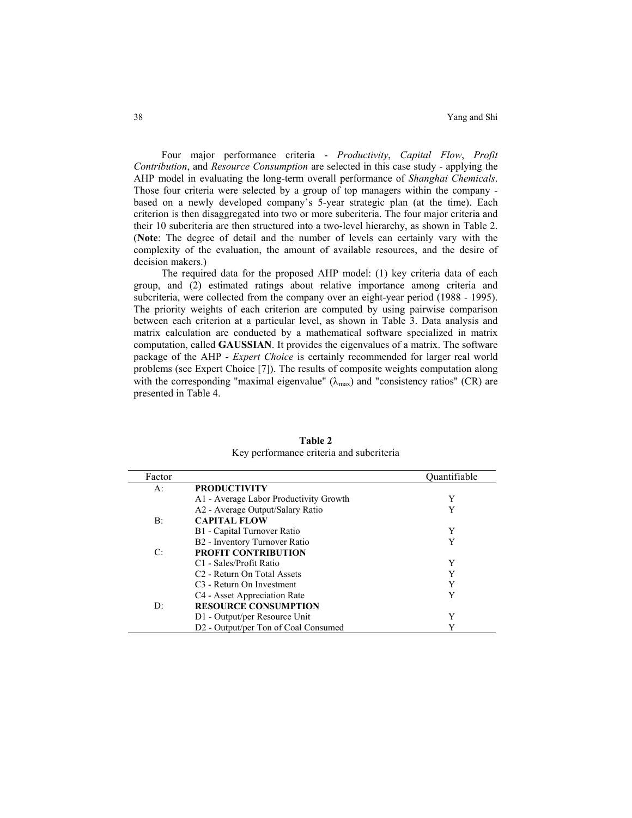Four major performance criteria - *Productivity*, *Capital Flow*, *Profit Contribution*, and *Resource Consumption* are selected in this case study - applying the AHP model in evaluating the long-term overall performance of *Shanghai Chemicals*. Those four criteria were selected by a group of top managers within the company based on a newly developed company's 5-year strategic plan (at the time). Each criterion is then disaggregated into two or more subcriteria. The four major criteria and their 10 subcriteria are then structured into a two-level hierarchy, as shown in Table 2. (**Note**: The degree of detail and the number of levels can certainly vary with the complexity of the evaluation, the amount of available resources, and the desire of decision makers.)

The required data for the proposed AHP model: (1) key criteria data of each group, and (2) estimated ratings about relative importance among criteria and subcriteria, were collected from the company over an eight-year period (1988 - 1995). The priority weights of each criterion are computed by using pairwise comparison between each criterion at a particular level, as shown in Table 3. Data analysis and matrix calculation are conducted by a mathematical software specialized in matrix computation, called **GAUSSIAN**. It provides the eigenvalues of a matrix. The software package of the AHP - *Expert Choice* is certainly recommended for larger real world problems (see Expert Choice [7]). The results of composite weights computation along with the corresponding "maximal eigenvalue"  $(\lambda_{max})$  and "consistency ratios" (CR) are presented in Table 4.

| Factor |                                         | Quantifiable |
|--------|-----------------------------------------|--------------|
| A:     | <b>PRODUCTIVITY</b>                     |              |
|        | A1 - Average Labor Productivity Growth  | Y            |
|        | A2 - Average Output/Salary Ratio        | Y            |
| B:     | <b>CAPITAL FLOW</b>                     |              |
|        | B1 - Capital Turnover Ratio             | Y            |
|        | B2 - Inventory Turnover Ratio           | Y            |
| C:     | <b>PROFIT CONTRIBUTION</b>              |              |
|        | C <sub>1</sub> - Sales/Profit Ratio     | Y            |
|        | C <sub>2</sub> - Return On Total Assets | Y            |
|        | C <sub>3</sub> - Return On Investment   | Y            |
|        | C4 - Asset Appreciation Rate            | Y            |
| D:     | <b>RESOURCE CONSUMPTION</b>             |              |
|        | D1 - Output/per Resource Unit           | Y            |
|        | D2 - Output/per Ton of Coal Consumed    |              |

**Table 2**  Key performance criteria and subcriteria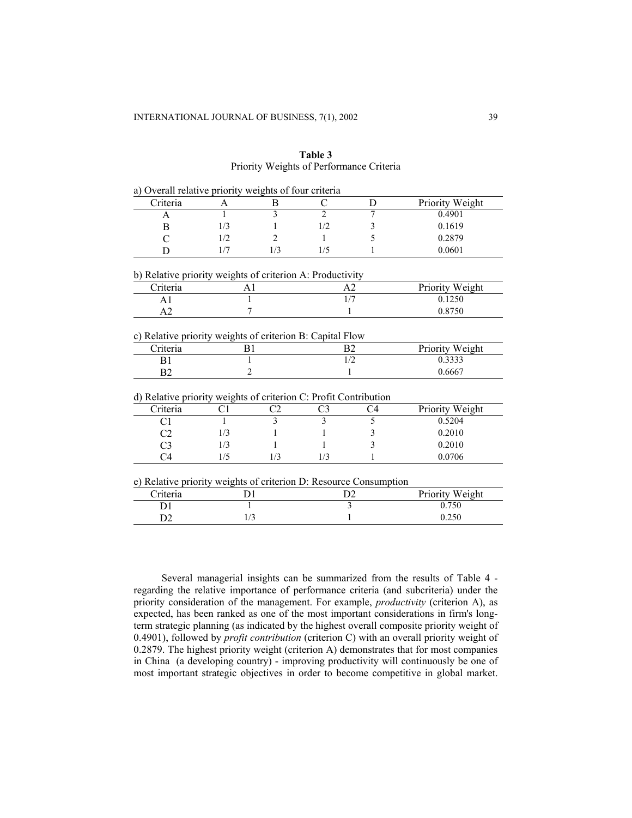| a) Overall relative priority weights of four criteria             |     |     |                |                |                 |
|-------------------------------------------------------------------|-----|-----|----------------|----------------|-----------------|
| Criteria                                                          | A   | B   | C              | D              | Priority Weight |
| A                                                                 | 1   | 3   | $\overline{2}$ | 7              | 0.4901          |
| B                                                                 | 1/3 |     | 1/2            | 3              | 0.1619          |
| C                                                                 | 1/2 | 2   | 1              | 5              | 0.2879          |
| D                                                                 | 1/7 | 1/3 | 1/5            | 1              | 0.0601          |
| b) Relative priority weights of criterion A: Productivity         |     |     |                |                |                 |
| Criteria                                                          | A1  |     |                | A <sub>2</sub> | Priority Weight |
| A <sub>1</sub>                                                    |     |     |                | 1/7            | 0.1250          |
| A2                                                                | 7   |     |                | 1              | 0.8750          |
| c) Relative priority weights of criterion B: Capital Flow         |     |     |                |                |                 |
| Criteria                                                          | B1  |     |                | B <sub>2</sub> | Priority Weight |
| B1                                                                | 1   |     |                | 1/2            | 0.3333          |
| B <sub>2</sub>                                                    | 2   |     |                | 1              | 0.6667          |
| d) Relative priority weights of criterion C: Profit Contribution  |     |     |                |                |                 |
| Criteria                                                          | C1  | C2  | C3             | C4             | Priority Weight |
| C <sub>1</sub>                                                    | 1   | 3   | 3              | 5              | 0.5204          |
| C <sub>2</sub>                                                    | 1/3 |     |                | 3              | 0.2010          |
| C <sub>3</sub>                                                    | 1/3 |     |                | 3              | 0.2010          |
| C <sub>4</sub>                                                    | 1/5 | 1/3 | 1/3            | 1              | 0.0706          |
| e) Relative priority weights of criterion D: Resource Consumption |     |     |                |                |                 |
| Criteria                                                          | D1  |     |                | D <sub>2</sub> | Priority Weight |
| D <sub>1</sub>                                                    |     |     |                | 3              | 0.750           |
| D2                                                                | 1/3 |     |                | 1              | 0.250           |

|  | Table 3                                  |  |
|--|------------------------------------------|--|
|  | Priority Weights of Performance Criteria |  |

Several managerial insights can be summarized from the results of Table 4 regarding the relative importance of performance criteria (and subcriteria) under the priority consideration of the management. For example, *productivity* (criterion A), as expected, has been ranked as one of the most important considerations in firm's longterm strategic planning (as indicated by the highest overall composite priority weight of 0.4901), followed by *profit contribution* (criterion C) with an overall priority weight of 0.2879. The highest priority weight (criterion A) demonstrates that for most companies in China (a developing country) - improving productivity will continuously be one of most important strategic objectives in order to become competitive in global market.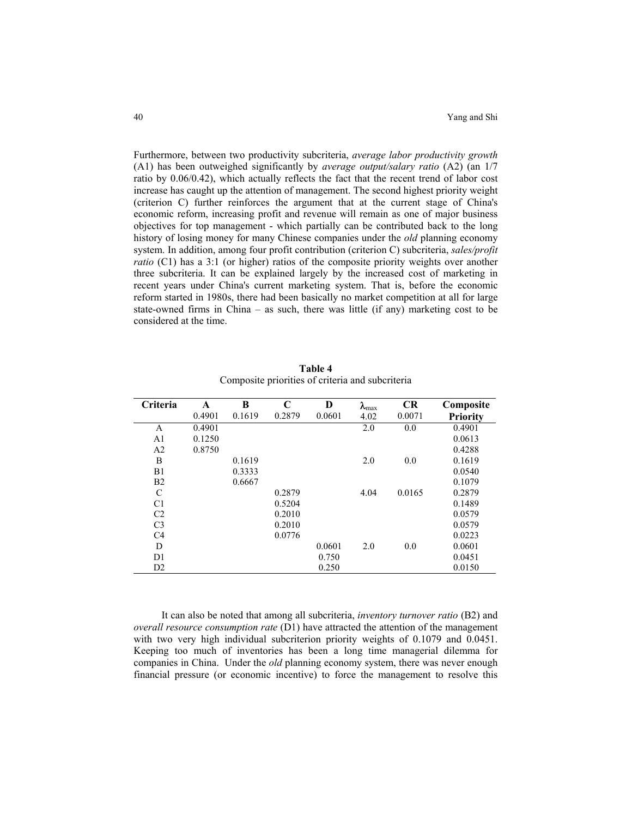Furthermore, between two productivity subcriteria, *average labor productivity growth* (A1) has been outweighed significantly by *average output/salary ratio* (A2) (an 1/7 ratio by 0.06/0.42), which actually reflects the fact that the recent trend of labor cost increase has caught up the attention of management. The second highest priority weight (criterion C) further reinforces the argument that at the current stage of China's economic reform, increasing profit and revenue will remain as one of major business objectives for top management - which partially can be contributed back to the long history of losing money for many Chinese companies under the *old* planning economy system. In addition, among four profit contribution (criterion C) subcriteria, *sales/profit ratio* (C1) has a 3:1 (or higher) ratios of the composite priority weights over another three subcriteria. It can be explained largely by the increased cost of marketing in recent years under China's current marketing system. That is, before the economic reform started in 1980s, there had been basically no market competition at all for large state-owned firms in China – as such, there was little (if any) marketing cost to be considered at the time.

| 0.4901<br>0.1619<br>0.2879<br>0.0601<br>0.0071<br>4.02<br>2.0<br>0.4901<br>0.0<br>0.4901<br>A<br>0.1250<br>0.0613<br>A <sub>1</sub><br>A <sub>2</sub><br>0.8750<br>0.4288<br>0.1619<br>B<br>0.1619<br>2.0<br>0.0<br>B1<br>0.0540<br>0.3333<br>B <sub>2</sub><br>0.6667<br>0.1079<br>C<br>0.2879<br>4.04<br>0.0165<br>0.2879<br>0.5204<br>0.1489<br>C <sub>1</sub> | Criteria       | A | B | C      | D | $\lambda_{\text{max}}$ | <b>CR</b> | Composite       |
|-------------------------------------------------------------------------------------------------------------------------------------------------------------------------------------------------------------------------------------------------------------------------------------------------------------------------------------------------------------------|----------------|---|---|--------|---|------------------------|-----------|-----------------|
|                                                                                                                                                                                                                                                                                                                                                                   |                |   |   |        |   |                        |           | <b>Priority</b> |
|                                                                                                                                                                                                                                                                                                                                                                   |                |   |   |        |   |                        |           |                 |
|                                                                                                                                                                                                                                                                                                                                                                   |                |   |   |        |   |                        |           |                 |
|                                                                                                                                                                                                                                                                                                                                                                   |                |   |   |        |   |                        |           |                 |
|                                                                                                                                                                                                                                                                                                                                                                   |                |   |   |        |   |                        |           |                 |
|                                                                                                                                                                                                                                                                                                                                                                   |                |   |   |        |   |                        |           |                 |
|                                                                                                                                                                                                                                                                                                                                                                   |                |   |   |        |   |                        |           |                 |
|                                                                                                                                                                                                                                                                                                                                                                   |                |   |   |        |   |                        |           |                 |
|                                                                                                                                                                                                                                                                                                                                                                   |                |   |   |        |   |                        |           |                 |
|                                                                                                                                                                                                                                                                                                                                                                   | C <sub>2</sub> |   |   | 0.2010 |   |                        |           | 0.0579          |
| C <sub>3</sub><br>0.2010<br>0.0579                                                                                                                                                                                                                                                                                                                                |                |   |   |        |   |                        |           |                 |
| C <sub>4</sub><br>0.0776<br>0.0223                                                                                                                                                                                                                                                                                                                                |                |   |   |        |   |                        |           |                 |
| 0.0601<br>0.0601<br>D<br>2.0<br>0.0                                                                                                                                                                                                                                                                                                                               |                |   |   |        |   |                        |           |                 |
| D <sub>1</sub><br>0.750<br>0.0451                                                                                                                                                                                                                                                                                                                                 |                |   |   |        |   |                        |           |                 |
| D2<br>0.250<br>0.0150                                                                                                                                                                                                                                                                                                                                             |                |   |   |        |   |                        |           |                 |

**Table 4**  Composite priorities of criteria and subcriteria

It can also be noted that among all subcriteria, *inventory turnover ratio* (B2) and *overall resource consumption rate* (D1) have attracted the attention of the management with two very high individual subcriterion priority weights of 0.1079 and 0.0451. Keeping too much of inventories has been a long time managerial dilemma for companies in China. Under the *old* planning economy system, there was never enough financial pressure (or economic incentive) to force the management to resolve this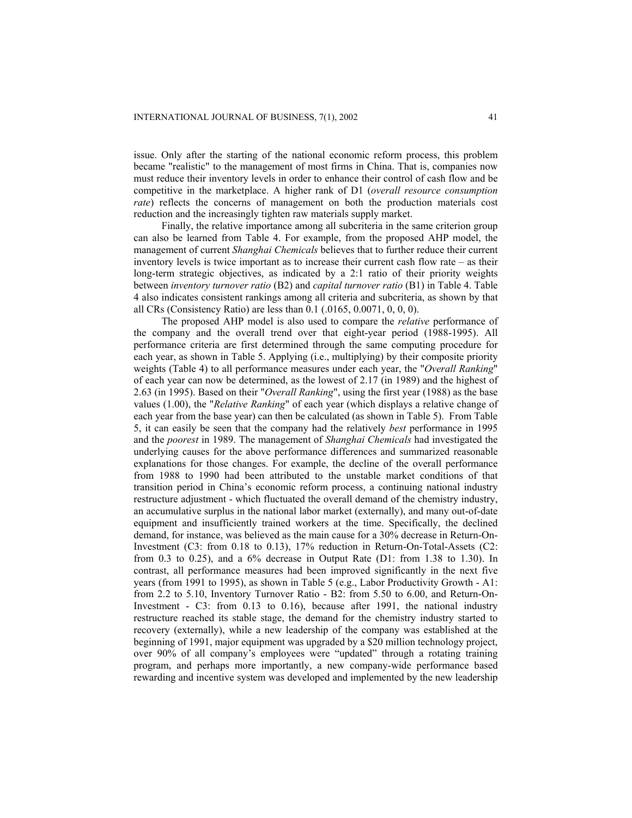issue. Only after the starting of the national economic reform process, this problem became "realistic" to the management of most firms in China. That is, companies now must reduce their inventory levels in order to enhance their control of cash flow and be competitive in the marketplace. A higher rank of D1 (*overall resource consumption rate*) reflects the concerns of management on both the production materials cost reduction and the increasingly tighten raw materials supply market.

Finally, the relative importance among all subcriteria in the same criterion group can also be learned from Table 4. For example, from the proposed AHP model, the management of current *Shanghai Chemicals* believes that to further reduce their current inventory levels is twice important as to increase their current cash flow rate – as their long-term strategic objectives, as indicated by a 2:1 ratio of their priority weights between *inventory turnover ratio* (B2) and *capital turnover ratio* (B1) in Table 4. Table 4 also indicates consistent rankings among all criteria and subcriteria, as shown by that all CRs (Consistency Ratio) are less than 0.1 (.0165, 0.0071, 0, 0, 0).

The proposed AHP model is also used to compare the *relative* performance of the company and the overall trend over that eight-year period (1988-1995). All performance criteria are first determined through the same computing procedure for each year, as shown in Table 5. Applying (i.e., multiplying) by their composite priority weights (Table 4) to all performance measures under each year, the "*Overall Ranking*" of each year can now be determined, as the lowest of 2.17 (in 1989) and the highest of 2.63 (in 1995). Based on their "*Overall Ranking*", using the first year (1988) as the base values (1.00), the "*Relative Ranking*" of each year (which displays a relative change of each year from the base year) can then be calculated (as shown in Table 5). From Table 5, it can easily be seen that the company had the relatively *best* performance in 1995 and the *poorest* in 1989. The management of *Shanghai Chemicals* had investigated the underlying causes for the above performance differences and summarized reasonable explanations for those changes. For example, the decline of the overall performance from 1988 to 1990 had been attributed to the unstable market conditions of that transition period in China's economic reform process, a continuing national industry restructure adjustment - which fluctuated the overall demand of the chemistry industry, an accumulative surplus in the national labor market (externally), and many out-of-date equipment and insufficiently trained workers at the time. Specifically, the declined demand, for instance, was believed as the main cause for a 30% decrease in Return-On-Investment (C3: from 0.18 to 0.13), 17% reduction in Return-On-Total-Assets (C2: from 0.3 to 0.25), and a  $6\%$  decrease in Output Rate (D1: from 1.38 to 1.30). In contrast, all performance measures had been improved significantly in the next five years (from 1991 to 1995), as shown in Table 5 (e.g., Labor Productivity Growth - A1: from 2.2 to 5.10, Inventory Turnover Ratio - B2: from 5.50 to 6.00, and Return-On-Investment - C3: from 0.13 to 0.16), because after 1991, the national industry restructure reached its stable stage, the demand for the chemistry industry started to recovery (externally), while a new leadership of the company was established at the beginning of 1991, major equipment was upgraded by a \$20 million technology project, over 90% of all company's employees were "updated" through a rotating training program, and perhaps more importantly, a new company-wide performance based rewarding and incentive system was developed and implemented by the new leadership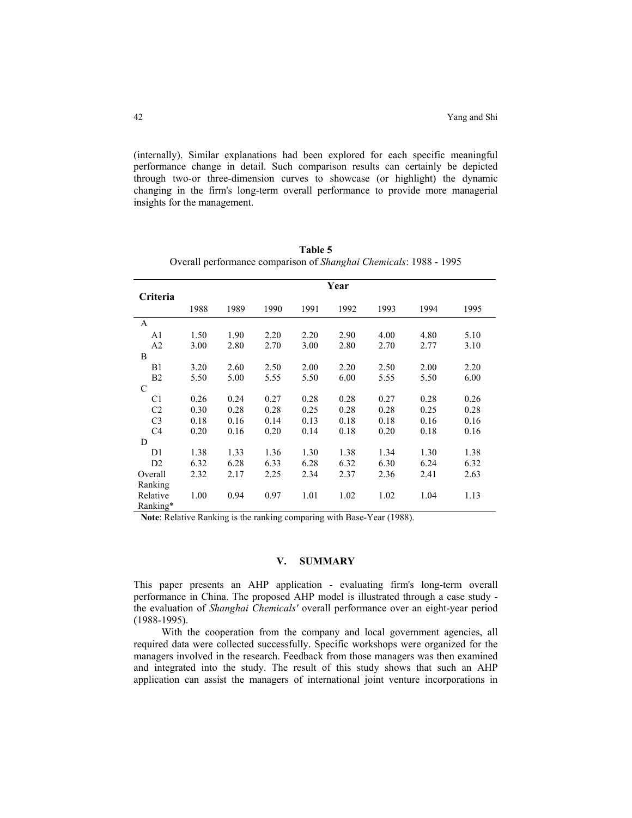(internally). Similar explanations had been explored for each specific meaningful performance change in detail. Such comparison results can certainly be depicted through two-or three-dimension curves to showcase (or highlight) the dynamic changing in the firm's long-term overall performance to provide more managerial insights for the management.

| Criteria       |      |      |      |      | Year |      |      |      |
|----------------|------|------|------|------|------|------|------|------|
|                | 1988 | 1989 | 1990 | 1991 | 1992 | 1993 | 1994 | 1995 |
| A              |      |      |      |      |      |      |      |      |
| A <sub>1</sub> | 1.50 | 1.90 | 2.20 | 2.20 | 2.90 | 4.00 | 4.80 | 5.10 |
| A <sub>2</sub> | 3.00 | 2.80 | 2.70 | 3.00 | 2.80 | 2.70 | 2.77 | 3.10 |
| B              |      |      |      |      |      |      |      |      |
| B1             | 3.20 | 2.60 | 2.50 | 2.00 | 2.20 | 2.50 | 2.00 | 2.20 |
| B <sub>2</sub> | 5.50 | 5.00 | 5.55 | 5.50 | 6.00 | 5.55 | 5.50 | 6.00 |
| C              |      |      |      |      |      |      |      |      |
| C <sub>1</sub> | 0.26 | 0.24 | 0.27 | 0.28 | 0.28 | 0.27 | 0.28 | 0.26 |
| C <sub>2</sub> | 0.30 | 0.28 | 0.28 | 0.25 | 0.28 | 0.28 | 0.25 | 0.28 |
| C <sub>3</sub> | 0.18 | 0.16 | 0.14 | 0.13 | 0.18 | 0.18 | 0.16 | 0.16 |
| C <sub>4</sub> | 0.20 | 0.16 | 0.20 | 0.14 | 0.18 | 0.20 | 0.18 | 0.16 |
| D              |      |      |      |      |      |      |      |      |
| D1             | 1.38 | 1.33 | 1.36 | 1.30 | 1.38 | 1.34 | 1.30 | 1.38 |
| D2             | 6.32 | 6.28 | 6.33 | 6.28 | 6.32 | 6.30 | 6.24 | 6.32 |
| Overall        | 2.32 | 2.17 | 2.25 | 2.34 | 2.37 | 2.36 | 2.41 | 2.63 |
| Ranking        |      |      |      |      |      |      |      |      |
| Relative       | 1.00 | 0.94 | 0.97 | 1.01 | 1.02 | 1.02 | 1.04 | 1.13 |
| Ranking*       |      |      |      |      |      |      |      |      |

| Table 5                                                           |
|-------------------------------------------------------------------|
| Overall performance comparison of Shanghai Chemicals: 1988 - 1995 |

 **Note**: Relative Ranking is the ranking comparing with Base-Year (1988).

# **V. SUMMARY**

This paper presents an AHP application - evaluating firm's long-term overall performance in China. The proposed AHP model is illustrated through a case study the evaluation of *Shanghai Chemicals'* overall performance over an eight-year period (1988-1995).

With the cooperation from the company and local government agencies, all required data were collected successfully. Specific workshops were organized for the managers involved in the research. Feedback from those managers was then examined and integrated into the study. The result of this study shows that such an AHP application can assist the managers of international joint venture incorporations in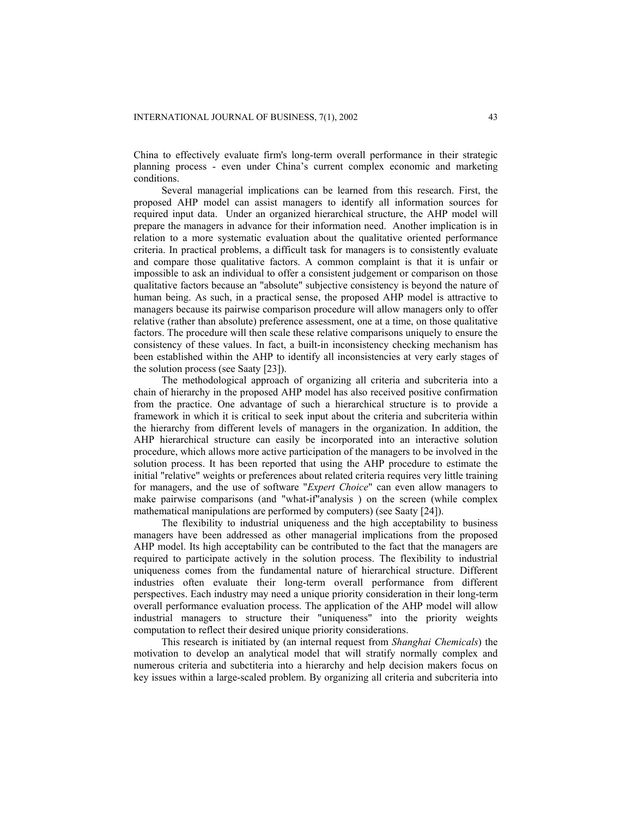China to effectively evaluate firm's long-term overall performance in their strategic planning process - even under China's current complex economic and marketing conditions.

Several managerial implications can be learned from this research. First, the proposed AHP model can assist managers to identify all information sources for required input data. Under an organized hierarchical structure, the AHP model will prepare the managers in advance for their information need. Another implication is in relation to a more systematic evaluation about the qualitative oriented performance criteria. In practical problems, a difficult task for managers is to consistently evaluate and compare those qualitative factors. A common complaint is that it is unfair or impossible to ask an individual to offer a consistent judgement or comparison on those qualitative factors because an "absolute" subjective consistency is beyond the nature of human being. As such, in a practical sense, the proposed AHP model is attractive to managers because its pairwise comparison procedure will allow managers only to offer relative (rather than absolute) preference assessment, one at a time, on those qualitative factors. The procedure will then scale these relative comparisons uniquely to ensure the consistency of these values. In fact, a built-in inconsistency checking mechanism has been established within the AHP to identify all inconsistencies at very early stages of the solution process (see Saaty [23]).

The methodological approach of organizing all criteria and subcriteria into a chain of hierarchy in the proposed AHP model has also received positive confirmation from the practice. One advantage of such a hierarchical structure is to provide a framework in which it is critical to seek input about the criteria and subcriteria within the hierarchy from different levels of managers in the organization. In addition, the AHP hierarchical structure can easily be incorporated into an interactive solution procedure, which allows more active participation of the managers to be involved in the solution process. It has been reported that using the AHP procedure to estimate the initial "relative" weights or preferences about related criteria requires very little training for managers, and the use of software "*Expert Choice*" can even allow managers to make pairwise comparisons (and "what-if"analysis ) on the screen (while complex mathematical manipulations are performed by computers) (see Saaty [24]).

The flexibility to industrial uniqueness and the high acceptability to business managers have been addressed as other managerial implications from the proposed AHP model. Its high acceptability can be contributed to the fact that the managers are required to participate actively in the solution process. The flexibility to industrial uniqueness comes from the fundamental nature of hierarchical structure. Different industries often evaluate their long-term overall performance from different perspectives. Each industry may need a unique priority consideration in their long-term overall performance evaluation process. The application of the AHP model will allow industrial managers to structure their "uniqueness" into the priority weights computation to reflect their desired unique priority considerations.

This research is initiated by (an internal request from *Shanghai Chemicals*) the motivation to develop an analytical model that will stratify normally complex and numerous criteria and subctiteria into a hierarchy and help decision makers focus on key issues within a large-scaled problem. By organizing all criteria and subcriteria into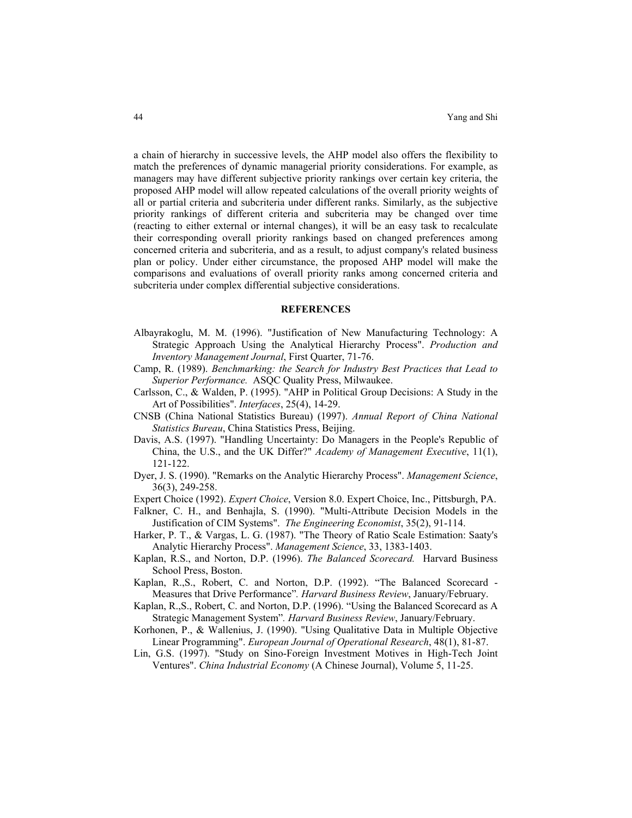a chain of hierarchy in successive levels, the AHP model also offers the flexibility to match the preferences of dynamic managerial priority considerations. For example, as managers may have different subjective priority rankings over certain key criteria, the proposed AHP model will allow repeated calculations of the overall priority weights of all or partial criteria and subcriteria under different ranks. Similarly, as the subjective priority rankings of different criteria and subcriteria may be changed over time (reacting to either external or internal changes), it will be an easy task to recalculate their corresponding overall priority rankings based on changed preferences among concerned criteria and subcriteria, and as a result, to adjust company's related business plan or policy. Under either circumstance, the proposed AHP model will make the comparisons and evaluations of overall priority ranks among concerned criteria and subcriteria under complex differential subjective considerations.

#### **REFERENCES**

- Albayrakoglu, M. M. (1996). "Justification of New Manufacturing Technology: A Strategic Approach Using the Analytical Hierarchy Process". *Production and Inventory Management Journal*, First Quarter, 71-76.
- Camp, R. (1989). *Benchmarking: the Search for Industry Best Practices that Lead to Superior Performance.* ASQC Quality Press, Milwaukee.
- Carlsson, C., & Walden, P. (1995). "AHP in Political Group Decisions: A Study in the Art of Possibilities". *Interfaces*, 25(4), 14-29.
- CNSB (China National Statistics Bureau) (1997). *Annual Report of China National Statistics Bureau*, China Statistics Press, Beijing.
- Davis, A.S. (1997). "Handling Uncertainty: Do Managers in the People's Republic of China, the U.S., and the UK Differ?" *Academy of Management Executive*, 11(1), 121-122.
- Dyer, J. S. (1990). "Remarks on the Analytic Hierarchy Process". *Management Science*, 36(3), 249-258.
- Expert Choice (1992). *Expert Choice*, Version 8.0. Expert Choice, Inc., Pittsburgh, PA.
- Falkner, C. H., and Benhajla, S. (1990). "Multi-Attribute Decision Models in the Justification of CIM Systems". *The Engineering Economist*, 35(2), 91-114.
- Harker, P. T., & Vargas, L. G. (1987). "The Theory of Ratio Scale Estimation: Saaty's Analytic Hierarchy Process". *Management Science*, 33, 1383-1403.
- Kaplan, R.S., and Norton, D.P. (1996). *The Balanced Scorecard.* Harvard Business School Press, Boston.
- Kaplan, R.,S., Robert, C. and Norton, D.P. (1992). "The Balanced Scorecard Measures that Drive Performance"*. Harvard Business Review*, January/February.
- Kaplan, R.,S., Robert, C. and Norton, D.P. (1996). "Using the Balanced Scorecard as A Strategic Management System"*. Harvard Business Review*, January/February.
- Korhonen, P., & Wallenius, J. (1990). "Using Qualitative Data in Multiple Objective Linear Programming". *European Journal of Operational Research*, 48(1), 81-87.
- Lin, G.S. (1997). "Study on Sino-Foreign Investment Motives in High-Tech Joint Ventures". *China Industrial Economy* (A Chinese Journal), Volume 5, 11-25.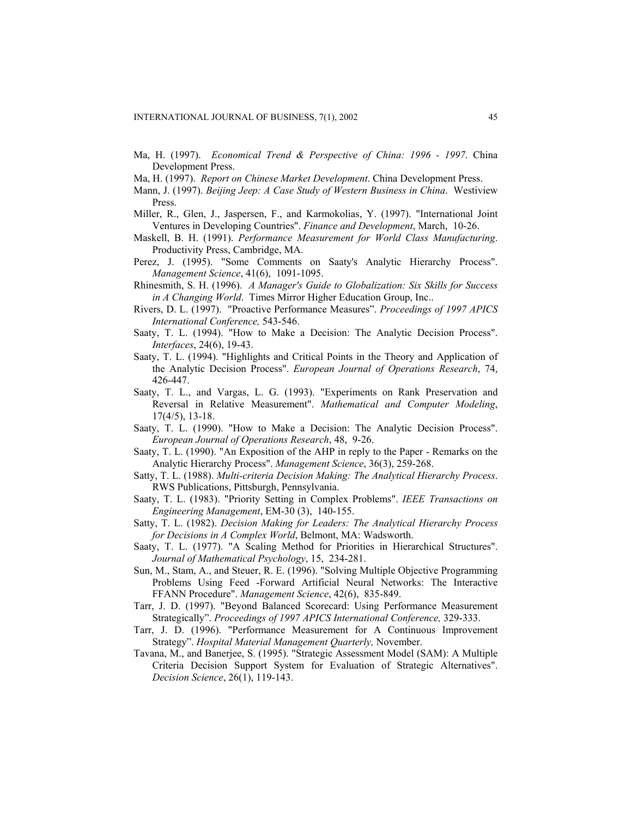- Ma, H. (1997). *Economical Trend & Perspective of China: 1996 1997*. China Development Press.
- Ma, H. (1997). *Report on Chinese Market Development*. China Development Press.
- Mann, J. (1997). *Beijing Jeep: A Case Study of Western Business in China*. Westiview Press.
- Miller, R., Glen, J., Jaspersen, F., and Karmokolias, Y. (1997). "International Joint Ventures in Developing Countries". *Finance and Development*, March, 10-26.
- Maskell, B. H. (1991). *Performance Measurement for World Class Manufacturing*. Productivity Press, Cambridge, MA.
- Perez, J. (1995). "Some Comments on Saaty's Analytic Hierarchy Process". *Management Science*, 41(6), 1091-1095.
- Rhinesmith, S. H. (1996). *A Manager's Guide to Globalization: Six Skills for Success in A Changing World*. Times Mirror Higher Education Group, Inc..
- Rivers, D. L. (1997). "Proactive Performance Measures". *Proceedings of 1997 APICS International Conference,* 543-546.
- Saaty, T. L. (1994). "How to Make a Decision: The Analytic Decision Process". *Interfaces*, 24(6), 19-43.
- Saaty, T. L. (1994). "Highlights and Critical Points in the Theory and Application of the Analytic Decision Process". *European Journal of Operations Research*, 74, 426-447.
- Saaty, T. L., and Vargas, L. G. (1993). "Experiments on Rank Preservation and Reversal in Relative Measurement". *Mathematical and Computer Modeling*, 17(4/5), 13-18.
- Saaty, T. L. (1990). "How to Make a Decision: The Analytic Decision Process". *European Journal of Operations Research*, 48, 9-26.
- Saaty, T. L. (1990). "An Exposition of the AHP in reply to the Paper Remarks on the Analytic Hierarchy Process". *Management Science*, 36(3), 259-268.
- Satty, T. L. (1988). *Multi-criteria Decision Making: The Analytical Hierarchy Process*. RWS Publications, Pittsburgh, Pennsylvania.
- Saaty, T. L. (1983). "Priority Setting in Complex Problems". *IEEE Transactions on Engineering Management*, EM-30 (3), 140-155.
- Satty, T. L. (1982). *Decision Making for Leaders: The Analytical Hierarchy Process for Decisions in A Complex World*, Belmont, MA: Wadsworth.
- Saaty, T. L. (1977). "A Scaling Method for Priorities in Hierarchical Structures". *Journal of Mathematical Psychology*, 15, 234-281.
- Sun, M., Stam, A., and Steuer, R. E. (1996). "Solving Multiple Objective Programming Problems Using Feed -Forward Artificial Neural Networks: The Interactive FFANN Procedure". *Management Science*, 42(6), 835-849.
- Tarr, J. D. (1997). "Beyond Balanced Scorecard: Using Performance Measurement Strategically". *Proceedings of 1997 APICS International Conference,* 329-333.
- Tarr, J. D. (1996). "Performance Measurement for A Continuous Improvement Strategy". *Hospital Material Management Quarterly,* November.
- Tavana, M., and Banerjee, S. (1995). "Strategic Assessment Model (SAM): A Multiple Criteria Decision Support System for Evaluation of Strategic Alternatives". *Decision Science*, 26(1), 119-143.